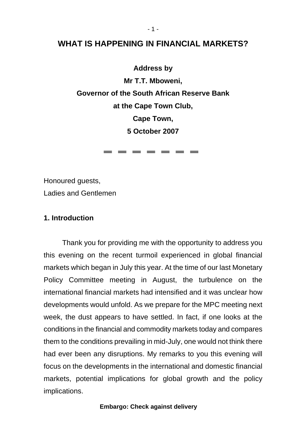# **WHAT IS HAPPENING IN FINANCIAL MARKETS?**

**Address by Mr T.T. Mboweni, Governor of the South African Reserve Bank at the Cape Town Club, Cape Town, 5 October 2007** 

= = = = = = =

Honoured guests,

Ladies and Gentlemen

# **1. Introduction**

Thank you for providing me with the opportunity to address you this evening on the recent turmoil experienced in global financial markets which began in July this year. At the time of our last Monetary Policy Committee meeting in August, the turbulence on the international financial markets had intensified and it was unclear how developments would unfold. As we prepare for the MPC meeting next week, the dust appears to have settled. In fact, if one looks at the conditions in the financial and commodity markets today and compares them to the conditions prevailing in mid-July, one would not think there had ever been any disruptions. My remarks to you this evening will focus on the developments in the international and domestic financial markets, potential implications for global growth and the policy implications.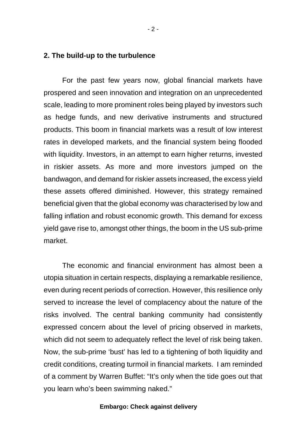## **2. The build-up to the turbulence**

For the past few years now, global financial markets have prospered and seen innovation and integration on an unprecedented scale, leading to more prominent roles being played by investors such as hedge funds, and new derivative instruments and structured products. This boom in financial markets was a result of low interest rates in developed markets, and the financial system being flooded with liquidity. Investors, in an attempt to earn higher returns, invested in riskier assets. As more and more investors jumped on the bandwagon, and demand for riskier assets increased, the excess yield these assets offered diminished. However, this strategy remained beneficial given that the global economy was characterised by low and falling inflation and robust economic growth. This demand for excess yield gave rise to, amongst other things, the boom in the US sub-prime market.

The economic and financial environment has almost been a utopia situation in certain respects, displaying a remarkable resilience, even during recent periods of correction. However, this resilience only served to increase the level of complacency about the nature of the risks involved. The central banking community had consistently expressed concern about the level of pricing observed in markets, which did not seem to adequately reflect the level of risk being taken. Now, the sub-prime 'bust' has led to a tightening of both liquidity and credit conditions, creating turmoil in financial markets. I am reminded of a comment by Warren Buffet: "It's only when the tide goes out that you learn who's been swimming naked."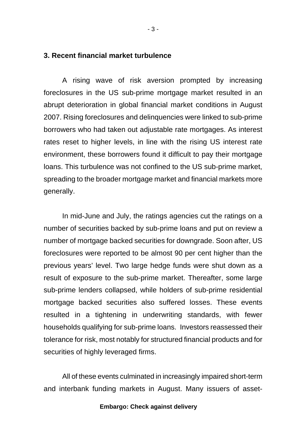### **3. Recent financial market turbulence**

A rising wave of risk aversion prompted by increasing foreclosures in the US sub-prime mortgage market resulted in an abrupt deterioration in global financial market conditions in August 2007. Rising foreclosures and delinquencies were linked to sub-prime borrowers who had taken out adjustable rate mortgages. As interest rates reset to higher levels, in line with the rising US interest rate environment, these borrowers found it difficult to pay their mortgage loans. This turbulence was not confined to the US sub-prime market, spreading to the broader mortgage market and financial markets more generally.

In mid-June and July, the ratings agencies cut the ratings on a number of securities backed by sub-prime loans and put on review a number of mortgage backed securities for downgrade. Soon after, US foreclosures were reported to be almost 90 per cent higher than the previous years' level. Two large hedge funds were shut down as a result of exposure to the sub-prime market. Thereafter, some large sub-prime lenders collapsed, while holders of sub-prime residential mortgage backed securities also suffered losses. These events resulted in a tightening in underwriting standards, with fewer households qualifying for sub-prime loans. Investors reassessed their tolerance for risk, most notably for structured financial products and for securities of highly leveraged firms.

All of these events culminated in increasingly impaired short-term and interbank funding markets in August. Many issuers of asset-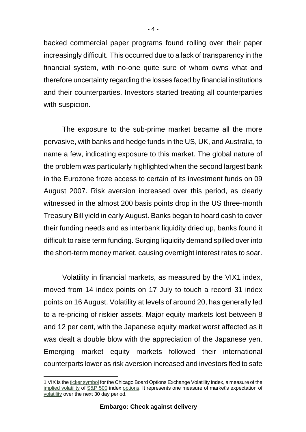backed commercial paper programs found rolling over their paper increasingly difficult. This occurred due to a lack of transparency in the financial system, with no-one quite sure of whom owns what and therefore uncertainty regarding the losses faced by financial institutions and their counterparties. Investors started treating all counterparties with suspicion.

The exposure to the sub-prime market became all the more pervasive, with banks and hedge funds in the US, UK, and Australia, to name a few, indicating exposure to this market. The global nature of the problem was particularly highlighted when the second largest bank in the Eurozone froze access to certain of its investment funds on 09 August 2007. Risk aversion increased over this period, as clearly witnessed in the almost 200 basis points drop in the US three-month Treasury Bill yield in early August. Banks began to hoard cash to cover their funding needs and as interbank liquidity dried up, banks found it difficult to raise term funding. Surging liquidity demand spilled over into the short-term money market, causing overnight interest rates to soar.

Volatility in financial markets, as measured by the VIX1 index, moved from 14 index points on 17 July to touch a record 31 index points on 16 August. Volatility at levels of around 20, has generally led to a re-pricing of riskier assets*.* Major equity markets lost between 8 and 12 per cent, with the Japanese equity market worst affected as it was dealt a double blow with the appreciation of the Japanese yen. Emerging market equity markets followed their international counterparts lower as risk aversion increased and investors fled to safe

 1 VIX is the ticker symbol for the Chicago Board Options Exchange Volatility Index, a measure of the implied volatility of S&P 500 index options. It represents one measure of market's expectation of volatility over the next 30 day period.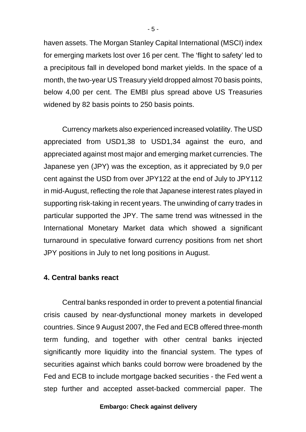haven assets. The Morgan Stanley Capital International (MSCI) index for emerging markets lost over 16 per cent. The 'flight to safety' led to a precipitous fall in developed bond market yields. In the space of a month, the two-year US Treasury yield dropped almost 70 basis points, below 4,00 per cent. The EMBI plus spread above US Treasuries widened by 82 basis points to 250 basis points.

Currency markets also experienced increased volatility. The USD appreciated from USD1,38 to USD1,34 against the euro, and appreciated against most major and emerging market currencies. The Japanese yen (JPY) was the exception, as it appreciated by 9,0 per cent against the USD from over JPY122 at the end of July to JPY112 in mid-August, reflecting the role that Japanese interest rates played in supporting risk-taking in recent years. The unwinding of carry trades in particular supported the JPY. The same trend was witnessed in the International Monetary Market data which showed a significant turnaround in speculative forward currency positions from net short JPY positions in July to net long positions in August.

## **4. Central banks react**

Central banks responded in order to prevent a potential financial crisis caused by near-dysfunctional money markets in developed countries. Since 9 August 2007, the Fed and ECB offered three-month term funding, and together with other central banks injected significantly more liquidity into the financial system. The types of securities against which banks could borrow were broadened by the Fed and ECB to include mortgage backed securities - the Fed went a step further and accepted asset-backed commercial paper. The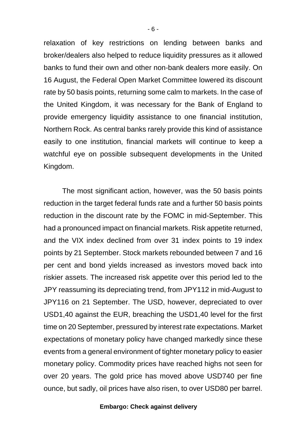relaxation of key restrictions on lending between banks and broker/dealers also helped to reduce liquidity pressures as it allowed banks to fund their own and other non-bank dealers more easily. On 16 August, the Federal Open Market Committee lowered its discount rate by 50 basis points, returning some calm to markets. In the case of the United Kingdom, it was necessary for the Bank of England to provide emergency liquidity assistance to one financial institution, Northern Rock. As central banks rarely provide this kind of assistance easily to one institution, financial markets will continue to keep a watchful eye on possible subsequent developments in the United Kingdom.

The most significant action, however, was the 50 basis points reduction in the target federal funds rate and a further 50 basis points reduction in the discount rate by the FOMC in mid-September. This had a pronounced impact on financial markets. Risk appetite returned, and the VIX index declined from over 31 index points to 19 index points by 21 September. Stock markets rebounded between 7 and 16 per cent and bond yields increased as investors moved back into riskier assets. The increased risk appetite over this period led to the JPY reassuming its depreciating trend, from JPY112 in mid-August to JPY116 on 21 September. The USD, however, depreciated to over USD1,40 against the EUR, breaching the USD1,40 level for the first time on 20 September, pressured by interest rate expectations. Market expectations of monetary policy have changed markedly since these events from a general environment of tighter monetary policy to easier monetary policy. Commodity prices have reached highs not seen for over 20 years. The gold price has moved above USD740 per fine ounce, but sadly, oil prices have also risen, to over USD80 per barrel.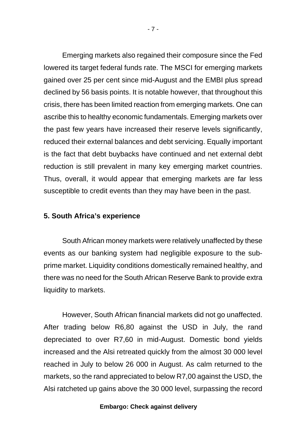Emerging markets also regained their composure since the Fed lowered its target federal funds rate. The MSCI for emerging markets gained over 25 per cent since mid-August and the EMBI plus spread declined by 56 basis points. It is notable however, that throughout this crisis, there has been limited reaction from emerging markets. One can ascribe this to healthy economic fundamentals. Emerging markets over the past few years have increased their reserve levels significantly, reduced their external balances and debt servicing. Equally important is the fact that debt buybacks have continued and net external debt reduction is still prevalent in many key emerging market countries. Thus, overall, it would appear that emerging markets are far less susceptible to credit events than they may have been in the past.

## **5. South Africa's experience**

South African money markets were relatively unaffected by these events as our banking system had negligible exposure to the subprime market. Liquidity conditions domestically remained healthy, and there was no need for the South African Reserve Bank to provide extra liquidity to markets.

However, South African financial markets did not go unaffected. After trading below R6,80 against the USD in July, the rand depreciated to over R7,60 in mid-August. Domestic bond yields increased and the Alsi retreated quickly from the almost 30 000 level reached in July to below 26 000 in August. As calm returned to the markets, so the rand appreciated to below R7,00 against the USD, the Alsi ratcheted up gains above the 30 000 level, surpassing the record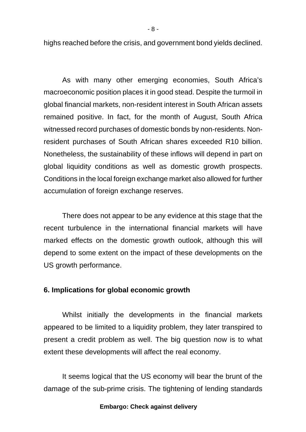highs reached before the crisis, and government bond yields declined.

As with many other emerging economies, South Africa's macroeconomic position places it in good stead. Despite the turmoil in global financial markets, non-resident interest in South African assets remained positive. In fact, for the month of August, South Africa witnessed record purchases of domestic bonds by non-residents. Nonresident purchases of South African shares exceeded R10 billion. Nonetheless, the sustainability of these inflows will depend in part on global liquidity conditions as well as domestic growth prospects. Conditions in the local foreign exchange market also allowed for further accumulation of foreign exchange reserves.

There does not appear to be any evidence at this stage that the recent turbulence in the international financial markets will have marked effects on the domestic growth outlook, although this will depend to some extent on the impact of these developments on the US growth performance.

# **6. Implications for global economic growth**

Whilst initially the developments in the financial markets appeared to be limited to a liquidity problem, they later transpired to present a credit problem as well. The big question now is to what extent these developments will affect the real economy.

It seems logical that the US economy will bear the brunt of the damage of the sub-prime crisis. The tightening of lending standards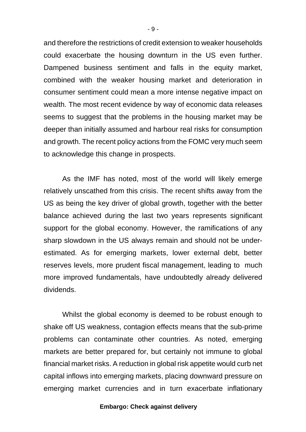and therefore the restrictions of credit extension to weaker households could exacerbate the housing downturn in the US even further. Dampened business sentiment and falls in the equity market, combined with the weaker housing market and deterioration in consumer sentiment could mean a more intense negative impact on wealth. The most recent evidence by way of economic data releases seems to suggest that the problems in the housing market may be deeper than initially assumed and harbour real risks for consumption and growth. The recent policy actions from the FOMC very much seem to acknowledge this change in prospects.

As the IMF has noted, most of the world will likely emerge relatively unscathed from this crisis. The recent shifts away from the US as being the key driver of global growth, together with the better balance achieved during the last two years represents significant support for the global economy. However, the ramifications of any sharp slowdown in the US always remain and should not be underestimated. As for emerging markets, lower external debt, better reserves levels, more prudent fiscal management, leading to much more improved fundamentals, have undoubtedly already delivered dividends.

Whilst the global economy is deemed to be robust enough to shake off US weakness, contagion effects means that the sub-prime problems can contaminate other countries. As noted, emerging markets are better prepared for, but certainly not immune to global financial market risks. A reduction in global risk appetite would curb net capital inflows into emerging markets, placing downward pressure on emerging market currencies and in turn exacerbate inflationary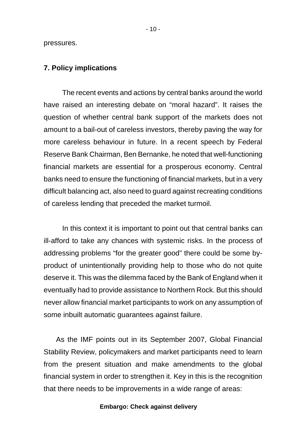pressures.

### **7. Policy implications**

The recent events and actions by central banks around the world have raised an interesting debate on "moral hazard". It raises the question of whether central bank support of the markets does not amount to a bail-out of careless investors, thereby paving the way for more careless behaviour in future. In a recent speech by Federal Reserve Bank Chairman, Ben Bernanke, he noted that well-functioning financial markets are essential for a prosperous economy. Central banks need to ensure the functioning of financial markets, but in a very difficult balancing act, also need to guard against recreating conditions of careless lending that preceded the market turmoil.

In this context it is important to point out that central banks can ill-afford to take any chances with systemic risks. In the process of addressing problems "for the greater good" there could be some byproduct of unintentionally providing help to those who do not quite deserve it. This was the dilemma faced by the Bank of England when it eventually had to provide assistance to Northern Rock. But this should never allow financial market participants to work on any assumption of some inbuilt automatic guarantees against failure.

As the IMF points out in its September 2007, Global Financial Stability Review, policymakers and market participants need to learn from the present situation and make amendments to the global financial system in order to strengthen it. Key in this is the recognition that there needs to be improvements in a wide range of areas: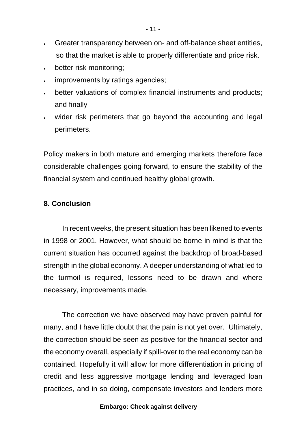- Greater transparency between on- and off-balance sheet entities, so that the market is able to properly differentiate and price risk.
- better risk monitoring;
- improvements by ratings agencies;
- better valuations of complex financial instruments and products; and finally
- wider risk perimeters that go beyond the accounting and legal perimeters.

Policy makers in both mature and emerging markets therefore face considerable challenges going forward, to ensure the stability of the financial system and continued healthy global growth.

# **8. Conclusion**

In recent weeks, the present situation has been likened to events in 1998 or 2001. However, what should be borne in mind is that the current situation has occurred against the backdrop of broad-based strength in the global economy. A deeper understanding of what led to the turmoil is required, lessons need to be drawn and where necessary, improvements made.

The correction we have observed may have proven painful for many, and I have little doubt that the pain is not yet over. Ultimately, the correction should be seen as positive for the financial sector and the economy overall, especially if spill-over to the real economy can be contained. Hopefully it will allow for more differentiation in pricing of credit and less aggressive mortgage lending and leveraged loan practices, and in so doing, compensate investors and lenders more